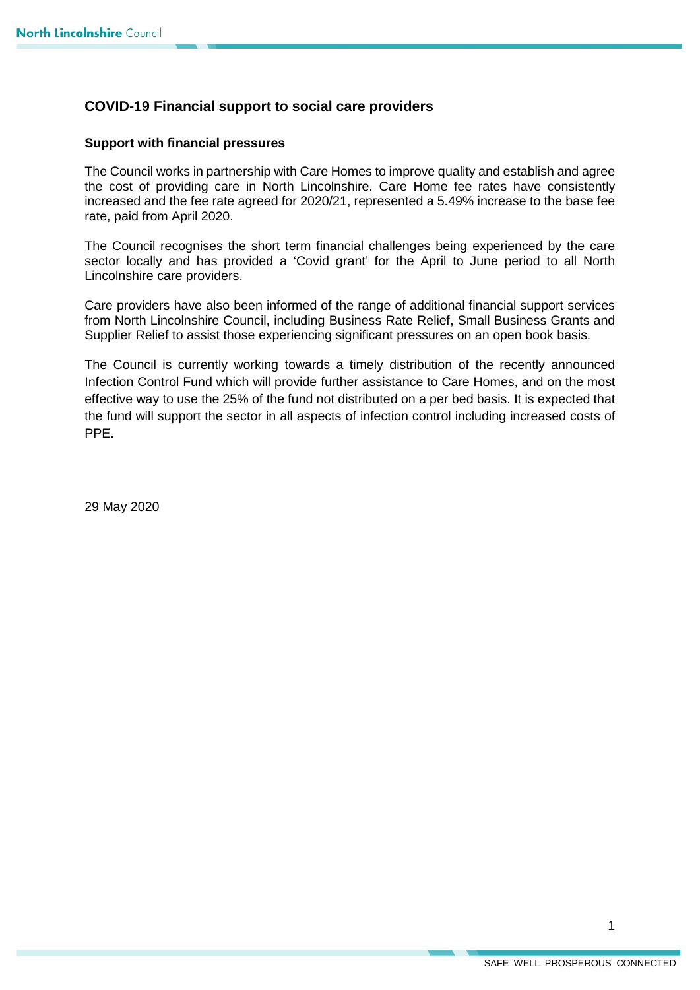## **COVID-19 Financial support to social care providers**

## **Support with financial pressures**

The Council works in partnership with Care Homes to improve quality and establish and agree the cost of providing care in North Lincolnshire. Care Home fee rates have consistently increased and the fee rate agreed for 2020/21, represented a 5.49% increase to the base fee rate, paid from April 2020.

The Council recognises the short term financial challenges being experienced by the care sector locally and has provided a 'Covid grant' for the April to June period to all North Lincolnshire care providers.

Care providers have also been informed of the range of additional financial support services from North Lincolnshire Council, including Business Rate Relief, Small Business Grants and Supplier Relief to assist those experiencing significant pressures on an open book basis.

The Council is currently working towards a timely distribution of the recently announced Infection Control Fund which will provide further assistance to Care Homes, and on the most effective way to use the 25% of the fund not distributed on a per bed basis. It is expected that the fund will support the sector in all aspects of infection control including increased costs of PPE.

29 May 2020